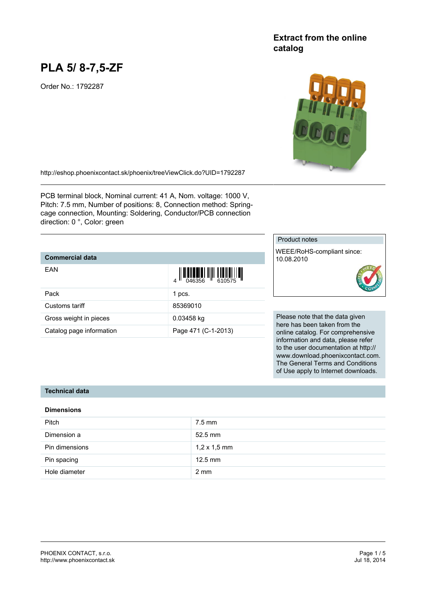# **PLA 5/ 8-7,5-ZF**

Order No.: 1792287

## **Extract from the online catalog**



<http://eshop.phoenixcontact.sk/phoenix/treeViewClick.do?UID=1792287>

PCB terminal block, Nominal current: 41 A, Nom. voltage: 1000 V, Pitch: 7.5 mm, Number of positions: 8, Connection method: Springcage connection, Mounting: Soldering, Conductor/PCB connection direction: 0 °, Color: green

### **Commercial data**

| EAN                      | $\left\  \prod_{0.46356} \left\  \prod_{0.46356} \left\  \prod_{0.46356} \left\  \prod_{0.46356} \left\  \prod_{0.46356} \left\  \prod_{0.46356} \left\  \prod_{0.46356} \left\  \prod_{0.46356} \left\  \prod_{0.46356} \left\  \prod_{0.46356} \left\  \prod_{0.46356} \left\  \prod_{0.46356} \left\  \prod_{0.46356} \left\  \prod_{0.46356} \left\  \prod_{0.4$ |
|--------------------------|----------------------------------------------------------------------------------------------------------------------------------------------------------------------------------------------------------------------------------------------------------------------------------------------------------------------------------------------------------------------|
| Pack                     | 1 pcs.                                                                                                                                                                                                                                                                                                                                                               |
| Customs tariff           | 85369010                                                                                                                                                                                                                                                                                                                                                             |
| Gross weight in pieces   | 0.03458 kg                                                                                                                                                                                                                                                                                                                                                           |
| Catalog page information | Page 471 (C-1-2013)                                                                                                                                                                                                                                                                                                                                                  |

#### Product notes

WEEE/RoHS-compliant since: 10.08.2010



Please note that the data given here has been taken from the online catalog. For comprehensive information and data, please refer to the user documentation at http:// www.download.phoenixcontact.com. The General Terms and Conditions of Use apply to Internet downloads.

#### **Technical data**

#### **Dimensions**

| <b>Pitch</b>   | $7.5$ mm            |
|----------------|---------------------|
| Dimension a    | $52.5$ mm           |
| Pin dimensions | $1,2 \times 1,5$ mm |
| Pin spacing    | $12.5$ mm           |
| Hole diameter  | $2 \text{ mm}$      |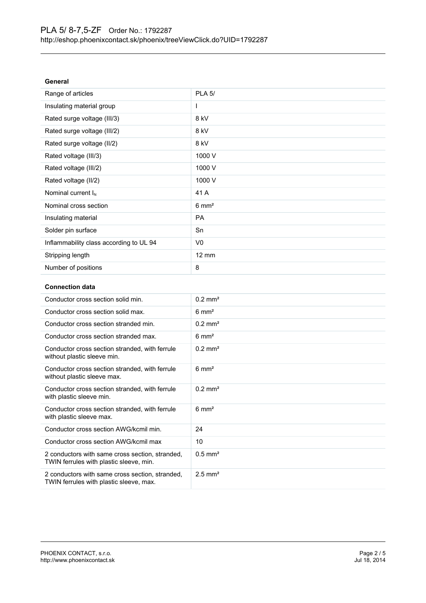| General                                 |                  |
|-----------------------------------------|------------------|
| Range of articles                       | <b>PLA 5/</b>    |
| Insulating material group               | I                |
| Rated surge voltage (III/3)             | 8 kV             |
| Rated surge voltage (III/2)             | 8 kV             |
| Rated surge voltage (II/2)              | 8 kV             |
| Rated voltage (III/3)                   | 1000 V           |
| Rated voltage (III/2)                   | 1000 V           |
| Rated voltage (II/2)                    | 1000 V           |
| Nominal current I <sub>N</sub>          | 41 A             |
| Nominal cross section                   | $6 \text{ mm}^2$ |
| Insulating material                     | <b>PA</b>        |
| Solder pin surface                      | Sn               |
| Inflammability class according to UL 94 | V <sub>0</sub>   |
| Stripping length                        | $12 \text{ mm}$  |
| Number of positions                     | 8                |
|                                         |                  |

#### **Connection data**

| Conductor cross section solid min.                                                         | $0.2$ mm <sup>2</sup> |
|--------------------------------------------------------------------------------------------|-----------------------|
| Conductor cross section solid max.                                                         | $6 \text{ mm}^2$      |
| Conductor cross section stranded min.                                                      | $0.2 \text{ mm}^2$    |
| Conductor cross section stranded max.                                                      | $6 \text{ mm}^2$      |
| Conductor cross section stranded, with ferrule<br>without plastic sleeve min.              | $0.2$ mm <sup>2</sup> |
| Conductor cross section stranded, with ferrule<br>without plastic sleeve max.              | $6 \text{ mm}^2$      |
| Conductor cross section stranded, with ferrule<br>with plastic sleeve min.                 | $0.2$ mm <sup>2</sup> |
| Conductor cross section stranded, with ferrule<br>with plastic sleeve max.                 | $6 \text{ mm}^2$      |
| Conductor cross section AWG/kcmil min.                                                     | 24                    |
| Conductor cross section AWG/kcmil max                                                      | 10                    |
| 2 conductors with same cross section, stranded,<br>TWIN ferrules with plastic sleeve, min. | $0.5$ mm <sup>2</sup> |
| 2 conductors with same cross section, stranded,<br>TWIN ferrules with plastic sleeve, max. | $2.5$ mm <sup>2</sup> |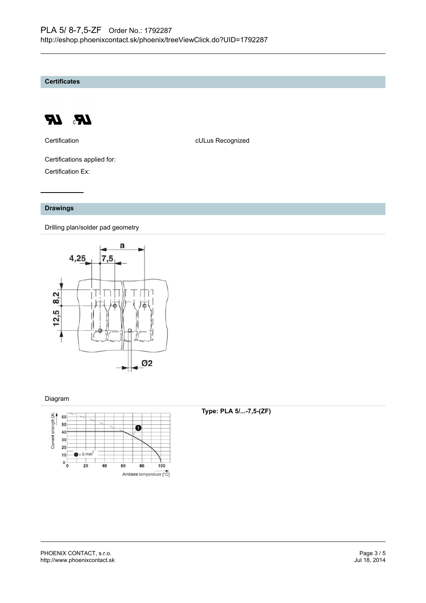**Certificates**



Certification **CERTIFICATE CULUS** Recognized

Certifications applied for: Certification Ex:

#### **Drawings**

Drilling plan/solder pad geometry



#### Diagram



#### **Type: PLA 5/...-7,5-(ZF)**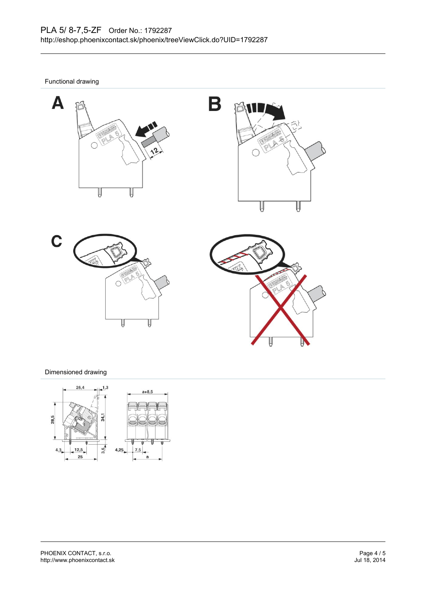B

Functional drawing









#### Dimensioned drawing